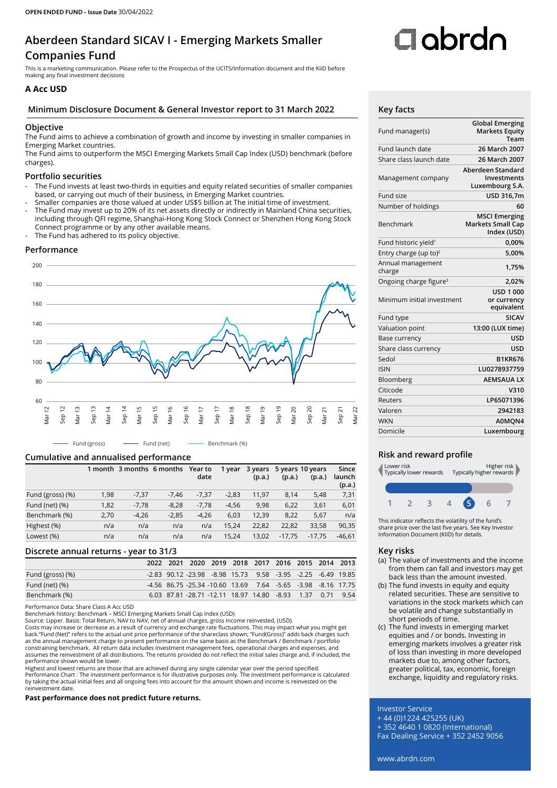## **Aberdeen Standard SICAV I - Emerging Markets Smaller Companies Fund**

This is a marketing communication. Please refer to the Prospectus of the UCITS/Information document and the KiiD before making any final investment decisions

### **A Acc USD**

#### **Minimum Disclosure Document & General Investor report to 31 March 2022 Key facts**

#### **Objective**

The Fund aims to achieve a combination of growth and income by investing in smaller companies in Emerging Market countries.

The Fund aims to outperform the MSCI Emerging Markets Small Cap Index (USD) benchmark (before charges).

#### **Portfolio securities**

- The Fund invests at least two-thirds in equities and equity related securities of smaller companies based, or carrying out much of their business, in Emerging Market countries.
- Smaller companies are those valued at under US\$5 billion at The initial time of investment.
- The Fund may invest up to 20% of its net assets directly or indirectly in Mainland China securities, including through QFI regime, Shanghai-Hong Kong Stock Connect or Shenzhen Hong Kong Stock Connect programme or by any other available means.
- The Fund has adhered to its policy objective.

#### **Performance**



#### **Cumulative and annualised performance**

|                  |      | 1 month 3 months 6 months |         | Year to<br>date | 1 year  | 3 years<br>(p.a.) | (p.a.)   | 5 years 10 years<br>(p.a.) | Since<br>launch<br>(p.a.) |
|------------------|------|---------------------------|---------|-----------------|---------|-------------------|----------|----------------------------|---------------------------|
| Fund (gross) (%) | 1,98 | $-7,37$                   | $-7.46$ | $-7.37$         | $-2,83$ | 11.97             | 8.14     | 5.48                       | 7,31                      |
| Fund (net) (%)   | 1,82 | $-7.78$                   | $-8.28$ | $-7.78$         | $-4,56$ | 9.98              | 6,22     | 3,61                       | 6,01                      |
| Benchmark (%)    | 2,70 | $-4,26$                   | $-2.85$ | $-4.26$         | 6,03    | 12.39             | 8.22     | 5,67                       | n/a                       |
| Highest (%)      | n/a  | n/a                       | n/a     | n/a             | 15.24   | 22,82             | 22.82    | 33.58                      | 90,35                     |
| Lowest (%)       | n/a  | n/a                       | n/a     | n/a             | 15.24   | 13.02             | $-17.75$ | $-17.75$                   | $-46.61$                  |

#### **Discrete annual returns - year to 31/3**

|                  |  | 2022 2021 2020 2019 2018 2017 2016 2015 2014 2013            |  |  |  |
|------------------|--|--------------------------------------------------------------|--|--|--|
| Fund (gross) (%) |  | -2.83 90.12 -23.98 -8.98 15.73 9.58 -3.95 -2.25 -6.49 19.85  |  |  |  |
| Fund (net) (%)   |  | -4.56 86.75 -25.34 -10.60 13.69 7.64 -5.65 -3.98 -8.16 17.75 |  |  |  |
| Benchmark (%)    |  | 6.03 87.81 -28.71 -12.11 18.97 14.80 -8.93 1.37 0.71 9.54    |  |  |  |

Performance Data: Share Class A Acc USD

Benchmark history: Benchmark – MSCI Emerging Markets Small Cap Index (USD)

Source: Lipper. Basis: Total Return, NAV to NAV, net of annual charges, gross Income reinvested, (USD).<br>Costs may increase or decrease as a result of currency and exchange rate fluctuations. This may impact what you might constraining benchmark. All return data includes investment management fees, operational charges and expenses, and assumes the reinvestment of all distributions. The returns provided do not reflect the initial sales charge and, if included, the performance shown would be lower.

Highest and lowest returns are those that are achieved during any single calendar year over the period specified.<br>Performance Chart : The investment performance is for illustrative purposes only. The investment performance by taking the actual initial fees and all ongoing fees into account for the amount shown and income is reinvested on the reinvestment date.

**Past performance does not predict future returns.**

# Oobrdo

| Fund manager(s)                    | <b>Global Emerging</b><br><b>Markets Equity</b><br>Team         |
|------------------------------------|-----------------------------------------------------------------|
| Fund launch date                   | 26 March 2007                                                   |
| Share class launch date            | 26 March 2007                                                   |
| Management company                 | Aberdeen Standard<br><b>Investments</b><br>Luxembourg S.A.      |
| Fund size                          | USD 316,7m                                                      |
| Number of holdings                 | 60                                                              |
| Benchmark                          | <b>MSCI Emerging</b><br><b>Markets Small Cap</b><br>Index (USD) |
| Fund historic yield <sup>1</sup>   | 0,00%                                                           |
| Entry charge (up to) <sup>2</sup>  | 5.00%                                                           |
| Annual management<br>charge        | 1,75%                                                           |
| Ongoing charge figure <sup>3</sup> | 2,02%                                                           |
| Minimum initial investment         | <b>USD 1 000</b><br>or currency<br>equivalent                   |
| Fund type                          | <b>SICAV</b>                                                    |
| Valuation point                    | 13:00 (LUX time)                                                |
| Base currency                      | <b>USD</b>                                                      |
| Share class currency               | <b>USD</b>                                                      |
| Sedol                              | <b>B1KR676</b>                                                  |
| <b>ISIN</b>                        | LU0278937759                                                    |
| Bloomberg                          | <b>AEMSAUALX</b>                                                |
| Citicode                           | V310                                                            |
| Reuters                            | LP65071396                                                      |
| Valoren                            | 2942183                                                         |
| <b>WKN</b>                         | A0MQN4                                                          |
| Domicile                           | Luxembourg                                                      |
|                                    |                                                                 |

#### **Risk and reward profile**



This indicator reflects the volatility of the fund's share price over the last five years. See Key Investor Information Document (KIID) for details.

#### **Key risks**

- (a) The value of investments and the income from them can fall and investors may get back less than the amount invested.
- (b) The fund invests in equity and equity related securities. These are sensitive to variations in the stock markets which can be volatile and change substantially in short periods of time.
- (c) The fund invests in emerging market equities and / or bonds. Investing in emerging markets involves a greater risk of loss than investing in more developed markets due to, among other factors, greater political, tax, economic, foreign exchange, liquidity and regulatory risks.

#### Investor Service

+ 44 (0)1224 425255 (UK)

- + 352 4640 1 0820 (International)
- Fax Dealing Service + 352 2452 9056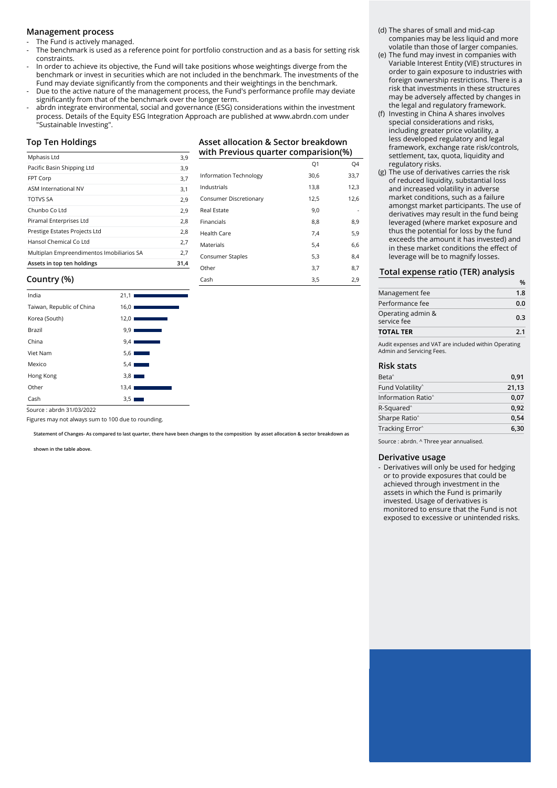#### **Management process**

The Fund is actively managed.

- The benchmark is used as a reference point for portfolio construction and as a basis for setting risk constraints.
- In order to achieve its objective, the Fund will take positions whose weightings diverge from the benchmark or invest in securities which are not included in the benchmark. The investments of the Fund may deviate significantly from the components and their weightings in the benchmark.
- Due to the active nature of the management process, the Fund's performance profile may deviate significantly from that of the benchmark over the longer term.
- abrdn integrate environmental, social and governance (ESG) considerations within the investment process. Details of the Equity ESG Integration Approach are published at www.abrdn.com under "Sustainable Investing".

#### **Top Ten Holdings**

| Mphasis Ltd                               | 3,9  |
|-------------------------------------------|------|
| Pacific Basin Shipping Ltd                | 3,9  |
| FPT Corp                                  | 3,7  |
| <b>ASM International NV</b>               | 3,1  |
| <b>TOTVS SA</b>                           | 2,9  |
| Chunbo Co Ltd                             | 2,9  |
| Piramal Enterprises Ltd                   | 2,8  |
| Prestige Estates Projects Ltd             | 2,8  |
| Hansol Chemical Co Ltd                    | 2,7  |
| Multiplan Empreendimentos Imobiliarios SA | 2,7  |
| Assets in top ten holdings                | 31.4 |

#### **Asset allocation & Sector breakdown with Previous quarter comparision(%)**

|                        | Q1   | Q4   |
|------------------------|------|------|
| Information Technology | 30,6 | 33,7 |
| Industrials            | 13,8 | 12,3 |
| Consumer Discretionary | 12,5 | 12,6 |
| Real Estate            | 9,0  |      |
| Financials             | 8,8  | 8,9  |
| Health Care            | 7,4  | 5,9  |
| Materials              | 5,4  | 6,6  |
| Consumer Staples       | 5,3  | 8,4  |
| Other                  | 3,7  | 8,7  |
| Cash                   | 3,5  | 2,9  |

#### **Country (%)**

| India                     | 21,1                                                                                                                                     |
|---------------------------|------------------------------------------------------------------------------------------------------------------------------------------|
| Taiwan, Republic of China | 16,01<br>$\mathcal{L}^{\text{max}}_{\text{max}}$ and $\mathcal{L}^{\text{max}}_{\text{max}}$ and $\mathcal{L}^{\text{max}}_{\text{max}}$ |
| Korea (South)             | 12.01<br>$\mathcal{L}^{\text{max}}_{\text{max}}$ and $\mathcal{L}^{\text{max}}_{\text{max}}$ and $\mathcal{L}^{\text{max}}_{\text{max}}$ |
| Brazil                    | 9,91                                                                                                                                     |
| China                     | 9,41<br>$\mathcal{L}^{\text{max}}_{\text{max}}$ and $\mathcal{L}^{\text{max}}_{\text{max}}$ and $\mathcal{L}^{\text{max}}_{\text{max}}$  |
| Viet Nam                  | 5,6                                                                                                                                      |
| Mexico                    | 5,4<br>a sa nag                                                                                                                          |
| Hong Kong                 | 3,8                                                                                                                                      |
| Other                     | 13,4                                                                                                                                     |
| Cash                      | 3,5                                                                                                                                      |
|                           |                                                                                                                                          |

Source : abrdn 31/03/2022

Figures may not always sum to 100 due to rounding.

**Statement of Changes- As compared to last quarter, there have been changes to the composition by asset allocation & sector breakdown as** 

**shown in the table above.**

#### (d) The shares of small and mid-cap companies may be less liquid and more volatile than those of larger companies.

- (e) The fund may invest in companies with Variable Interest Entity (VIE) structures in order to gain exposure to industries with foreign ownership restrictions. There is a risk that investments in these structures may be adversely affected by changes in the legal and regulatory framework.
- (f) Investing in China A shares involves special considerations and risks, including greater price volatility, a less developed regulatory and legal framework, exchange rate risk/controls, settlement, tax, quota, liquidity and regulatory risks.
- (g) The use of derivatives carries the risk of reduced liquidity, substantial loss and increased volatility in adverse market conditions, such as a failure amongst market participants. The use of derivatives may result in the fund being leveraged (where market exposure and thus the potential for loss by the fund exceeds the amount it has invested) and in these market conditions the effect of leverage will be to magnify losses.

#### **Total expense ratio (TER) analysis**

| Management fee                   | 1.8 |
|----------------------------------|-----|
| Performance fee                  | 0.0 |
| Operating admin &<br>service fee | 0.3 |
| <b>TOTAL TER</b>                 | 2.1 |
|                                  |     |

Audit expenses and VAT are included within Operating Admin and Servicing Fees.

#### **Risk stats**

| Beta <sup>^</sup>              | 0.91  |
|--------------------------------|-------|
| Fund Volatility <sup>^</sup>   | 21,13 |
| Information Ratio <sup>^</sup> | 0.07  |
| R-Squared <sup>^</sup>         | 0.92  |
| Sharpe Ratio <sup>^</sup>      | 0,54  |
| Tracking Error <sup>^</sup>    | 6.30  |

Source : abrdn. ^ Three year annualised.

#### **Derivative usage**

- Derivatives will only be used for hedging or to provide exposures that could be achieved through investment in the assets in which the Fund is primarily invested. Usage of derivatives is monitored to ensure that the Fund is not exposed to excessive or unintended risks.